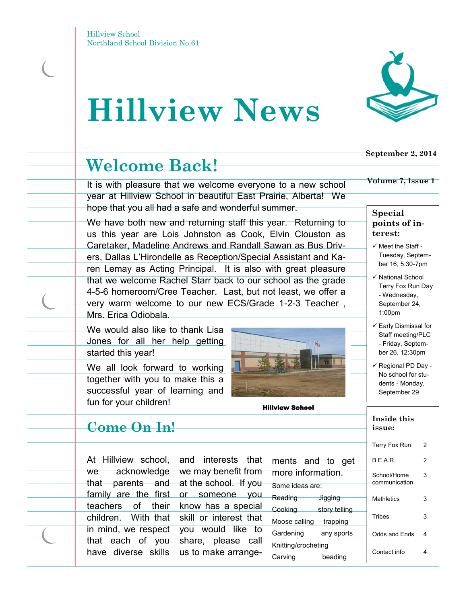# **Hillview News**



It is with pleasure that we welcome everyone to a new school year at Hillview School in beautiful East Prairie, Alberta! We hope that you all had a safe and wonderful summer.

We have both new and returning staff this year. Returning to us this year are Lois Johnston as Cook, Elvin Clouston as Caretaker, Madeline Andrews and Randall Sawan as Bus Drivers, Dallas L'Hirondelle as Reception/Special Assistant and Karen Lemay as Acting Principal. It is also with great pleasure that we welcome Rachel Starr back to our school as the grade 4-5-6 homeroom/Cree Teacher. Last, but not least, we offer a very warm welcome to our new ECS/Grade 1-2-3 Teacher , Mrs. Erica Odiobala.

We would also like to thank Lisa Jones for all her help getting started this year!

We all look forward to working together with you to make this a successful year of learning and fun for your children!

### **Come On In!**

At Hillview school, we acknowledge that parents and at the school. If you family are the first or someone you teachers of their children. With that in mind, we respect that each of you have diverse skills us to make arrangeand interests that we may benefit from know has a special skill or interest that you would like to share, please call

Hillview School



#### **September 2, 2014**

#### **Volume 7, Issue 1**

### **Special points of interest:**

- $\checkmark$  Meet the Staff -Tuesday, September 16, 5:30-7pm
- √ National School Terry Fox Run Day - Wednesday, September 24, 1:00pm
- $\checkmark$  Early Dismissal for Staff meeting/PLC - Friday, September 26, 12:30pm
- $\checkmark$  Regional PD Day -No school for students - Monday, September 29

| issue:                       |   |
|------------------------------|---|
| Terry Fox Run                | 2 |
| <b>BFAR</b>                  | 2 |
| School/Home<br>communication | 3 |
| <b>Mathletics</b>            | 3 |
| Tribes                       | 3 |
| Odds and Ends                | 4 |
| Contact info                 | 4 |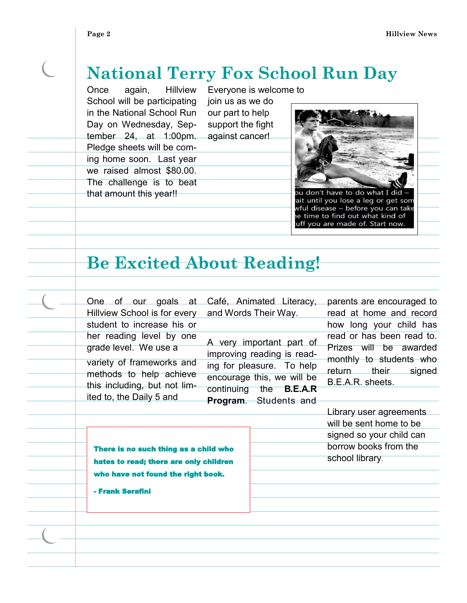$\overline{C}$ 

 $\overline{\phantom{a}}$ 

 $\frac{1}{\sqrt{2}}$ 

### **National Terry Fox School Run Day**

Once again, Hillview School will be participating in the National School Run Day on Wednesday, September 24, at 1:00pm. Pledge sheets will be coming home soon. Last year we raised almost \$80.00.

The challenge is to beat that amount this year!!

Everyone is welcome to join us as we do our part to help support the fight against cancer!



ait until you lose a leg or get som wful disease - before you can take e time to find out what kind of uff you are made of. Start now.

### **Be Excited About Reading!**

| One of our goals at Café, Animated Literacy,<br>Hillview School is for every                                                                                          |  | and Words Their Way.                                                                                                                                                        | parents are encouraged to<br>read at home and record                                                                      |
|-----------------------------------------------------------------------------------------------------------------------------------------------------------------------|--|-----------------------------------------------------------------------------------------------------------------------------------------------------------------------------|---------------------------------------------------------------------------------------------------------------------------|
| student to increase his or                                                                                                                                            |  |                                                                                                                                                                             | how long your child has                                                                                                   |
| her reading level by one<br>grade level. We use a<br>variety of frameworks and<br>methods to help achieve<br>this including, but not lim-<br>ited to, the Daily 5 and |  | A very important part of<br>improving reading is read-<br>ing for pleasure. To help<br>encourage this, we will be<br>continuing the <b>B.E.A.R</b><br>Program. Students and | read or has been read to.<br>Prizes will be awarded<br>monthly to students who<br>return their signed<br>B.E.A.R. sheets. |
|                                                                                                                                                                       |  |                                                                                                                                                                             | Library user agreements                                                                                                   |
|                                                                                                                                                                       |  |                                                                                                                                                                             | will be sent home to be                                                                                                   |
|                                                                                                                                                                       |  |                                                                                                                                                                             | signed so your child can                                                                                                  |
| There is no such thing as a child who                                                                                                                                 |  |                                                                                                                                                                             | borrow books from the                                                                                                     |
| hates to read; there are only children<br>who have not found the right book.                                                                                          |  |                                                                                                                                                                             | school library.                                                                                                           |
| - Frank Serafini                                                                                                                                                      |  |                                                                                                                                                                             |                                                                                                                           |
|                                                                                                                                                                       |  |                                                                                                                                                                             |                                                                                                                           |
|                                                                                                                                                                       |  |                                                                                                                                                                             |                                                                                                                           |
|                                                                                                                                                                       |  |                                                                                                                                                                             |                                                                                                                           |
|                                                                                                                                                                       |  |                                                                                                                                                                             |                                                                                                                           |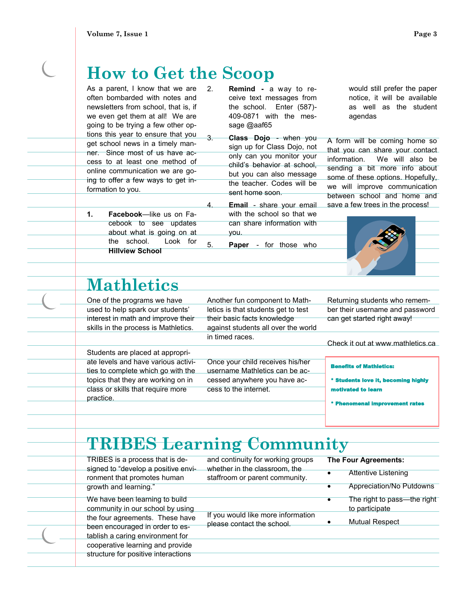### **How to Get the Scoop**

As a parent, I know that we are often bombarded with notes and newsletters from school, that is, if we even get them at all! We are going to be trying a few other options this year to ensure that you get school news in a timely manner. Since most of us have access to at least one method of online communication we are going to offer a few ways to get information to you.

**1. Facebook**—like us on Facebook to see updates about what is going on at the school. Look for **Hillview School**

- 2. **Remind -** a way to receive text messages from the school. Enter (587)- 409-0871 with the message @aaf65
- 3. **Class Dojo**  when you sign up for Class Dojo, not only can you monitor your child's behavior at school, but you can also message the teacher. Codes will be sent home soon.
	- Email share your email with the school so that we can share information with you.

5. **Paper** - for those who

would still prefer the paper notice, it will be available as well as the student agendas

A form will be coming home so that you can share your contact information. We will also be sending a bit more info about some of these options. Hopefully, we will improve communication between school and home and save a few trees in the process!



### **Mathletics**

One of the programs we have used to help spark our students' interest in math and improve their skills in the process is Mathletics.

Another fun component to Mathletics is that students get to test their basic facts knowledge against students all over the world

in timed races.

cess to the internet.

Students are placed at appropriate levels and have various activities to complete which go with the topics that they are working on in class or skills that require more practice.

Once your child receives his/her username Mathletics can be accessed anywhere you have acReturning students who remember their username and password can get started right away!

Check it out at www.mathletics.ca

#### Benefits of Mathletics:

\* Students love it, becoming highly motivated to learn

ial improvement rates

## **TRIBES Learning Community**

TRIBES is a process that is designed to "develop a positive environment that promotes human growth and learning." We have been learning to build community in our school by using the four agreements. These have been encouraged in order to establish a caring environment for cooperative learning and provide

structure for positive interactions

and continuity for working groups whether in the classroom, the staffroom or parent community.

If you would like more information

please contact the school.

### **The Four Agreements: •** Attentive Listening Appreciation/No Putdowns The right to pass—the right to participate

Mutual Respect